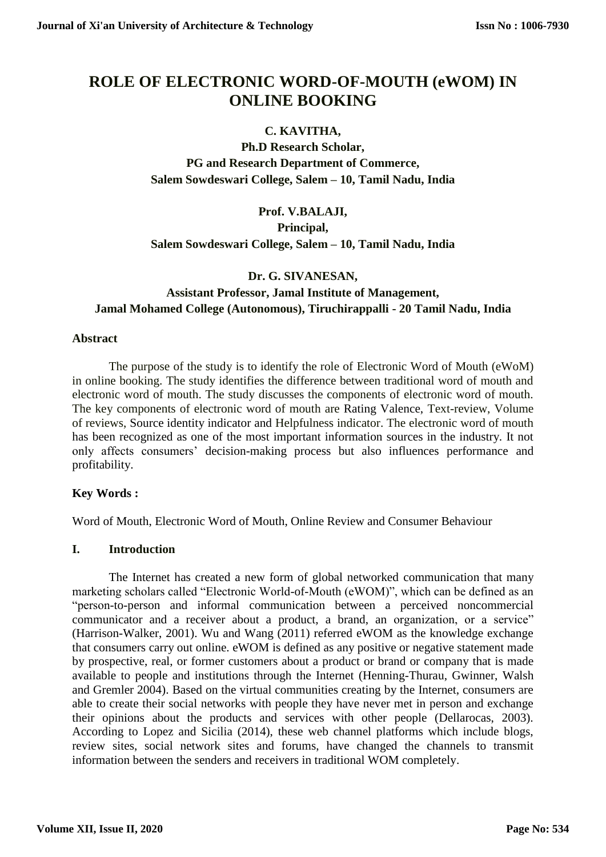# **ROLE OF ELECTRONIC WORD-OF-MOUTH (eWOM) IN ONLINE BOOKING**

## **C. KAVITHA,**

**Ph.D Research Scholar, PG and Research Department of Commerce, Salem Sowdeswari College, Salem – 10, Tamil Nadu, India**

## **Prof. V.BALAJI, Principal, Salem Sowdeswari College, Salem – 10, Tamil Nadu, India**

## **Dr. G. SIVANESAN, Assistant Professor, Jamal Institute of Management, Jamal Mohamed College (Autonomous), Tiruchirappalli - 20 Tamil Nadu, India**

#### **Abstract**

The purpose of the study is to identify the role of Electronic Word of Mouth (eWoM) in online booking. The study identifies the difference between traditional word of mouth and electronic word of mouth. The study discusses the components of electronic word of mouth. The key components of electronic word of mouth are Rating Valence, Text-review, Volume of reviews, Source identity indicator and Helpfulness indicator. The electronic word of mouth has been recognized as one of the most important information sources in the industry. It not only affects consumers' decision-making process but also influences performance and profitability.

#### **Key Words :**

Word of Mouth, Electronic Word of Mouth, Online Review and Consumer Behaviour

#### **I. Introduction**

The Internet has created a new form of global networked communication that many marketing scholars called "Electronic World-of-Mouth (eWOM)", which can be defined as an "person-to-person and informal communication between a perceived noncommercial communicator and a receiver about a product, a brand, an organization, or a service" (Harrison-Walker, 2001). Wu and Wang (2011) referred eWOM as the knowledge exchange that consumers carry out online. eWOM is defined as any positive or negative statement made by prospective, real, or former customers about a product or brand or company that is made available to people and institutions through the Internet (Henning-Thurau, Gwinner, Walsh and Gremler 2004). Based on the virtual communities creating by the Internet, consumers are able to create their social networks with people they have never met in person and exchange their opinions about the products and services with other people (Dellarocas, 2003). According to Lopez and Sicilia (2014), these web channel platforms which include blogs, review sites, social network sites and forums, have changed the channels to transmit information between the senders and receivers in traditional WOM completely.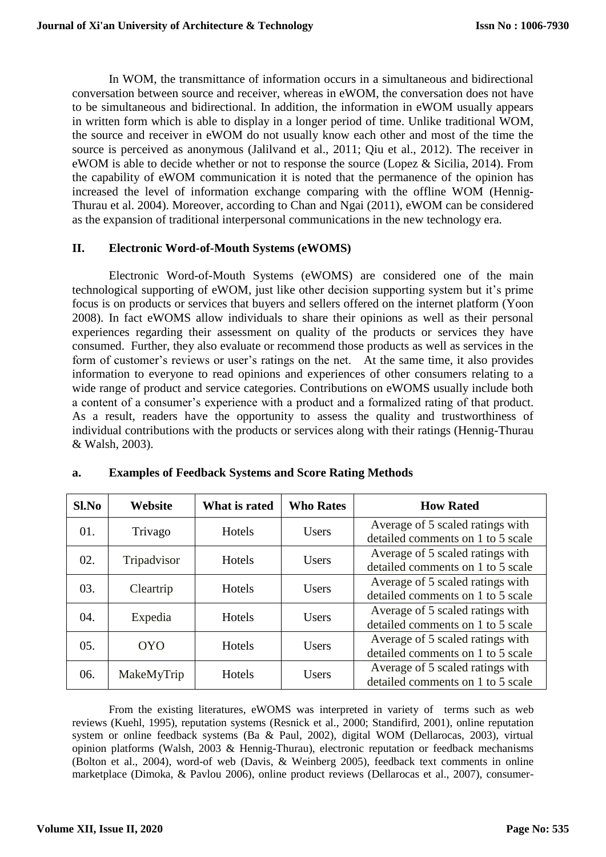In WOM, the transmittance of information occurs in a simultaneous and bidirectional conversation between source and receiver, whereas in eWOM, the conversation does not have to be simultaneous and bidirectional. In addition, the information in eWOM usually appears in written form which is able to display in a longer period of time. Unlike traditional WOM, the source and receiver in eWOM do not usually know each other and most of the time the source is perceived as anonymous (Jalilvand et al., 2011; Qiu et al., 2012). The receiver in eWOM is able to decide whether or not to response the source (Lopez & Sicilia, 2014). From the capability of eWOM communication it is noted that the permanence of the opinion has increased the level of information exchange comparing with the offline WOM (Hennig-Thurau et al. 2004). Moreover, according to Chan and Ngai (2011), eWOM can be considered as the expansion of traditional interpersonal communications in the new technology era.

#### **II. Electronic Word-of-Mouth Systems (eWOMS)**

Electronic Word-of-Mouth Systems (eWOMS) are considered one of the main technological supporting of eWOM, just like other decision supporting system but it's prime focus is on products or services that buyers and sellers offered on the internet platform (Yoon 2008). In fact eWOMS allow individuals to share their opinions as well as their personal experiences regarding their assessment on quality of the products or services they have consumed. Further, they also evaluate or recommend those products as well as services in the form of customer's reviews or user's ratings on the net. At the same time, it also provides information to everyone to read opinions and experiences of other consumers relating to a wide range of product and service categories. Contributions on eWOMS usually include both a content of a consumer's experience with a product and a formalized rating of that product. As a result, readers have the opportunity to assess the quality and trustworthiness of individual contributions with the products or services along with their ratings (Hennig-Thurau & Walsh, 2003).

| $Sl$ . No | Website     | What is rated | <b>Who Rates</b> | <b>How Rated</b>                  |
|-----------|-------------|---------------|------------------|-----------------------------------|
| 01.       | Trivago     | Hotels        | <b>Users</b>     | Average of 5 scaled ratings with  |
|           |             |               |                  | detailed comments on 1 to 5 scale |
| 02.       | Tripadvisor | Hotels        | Users            | Average of 5 scaled ratings with  |
|           |             |               |                  | detailed comments on 1 to 5 scale |
| 03.       |             | Hotels        | <b>Users</b>     | Average of 5 scaled ratings with  |
|           | Cleartrip   |               |                  | detailed comments on 1 to 5 scale |
| 04.       |             | Hotels        | <b>Users</b>     | Average of 5 scaled ratings with  |
|           | Expedia     |               |                  | detailed comments on 1 to 5 scale |
| 05.       | <b>OYO</b>  | Hotels        | <b>Users</b>     | Average of 5 scaled ratings with  |
|           |             |               |                  | detailed comments on 1 to 5 scale |
| 06.       | MakeMyTrip  | Hotels        | <b>Users</b>     | Average of 5 scaled ratings with  |
|           |             |               |                  | detailed comments on 1 to 5 scale |

#### **a. Examples of Feedback Systems and Score Rating Methods**

From the existing literatures, eWOMS was interpreted in variety of terms such as web reviews (Kuehl, 1995), reputation systems (Resnick et al., 2000; Standifird, 2001), online reputation system or online feedback systems (Ba & Paul, 2002), digital WOM (Dellarocas, 2003), virtual opinion platforms (Walsh, 2003 & Hennig-Thurau), electronic reputation or feedback mechanisms (Bolton et al., 2004), word-of web (Davis, & Weinberg 2005), feedback text comments in online marketplace (Dimoka, & Pavlou 2006), online product reviews (Dellarocas et al., 2007), consumer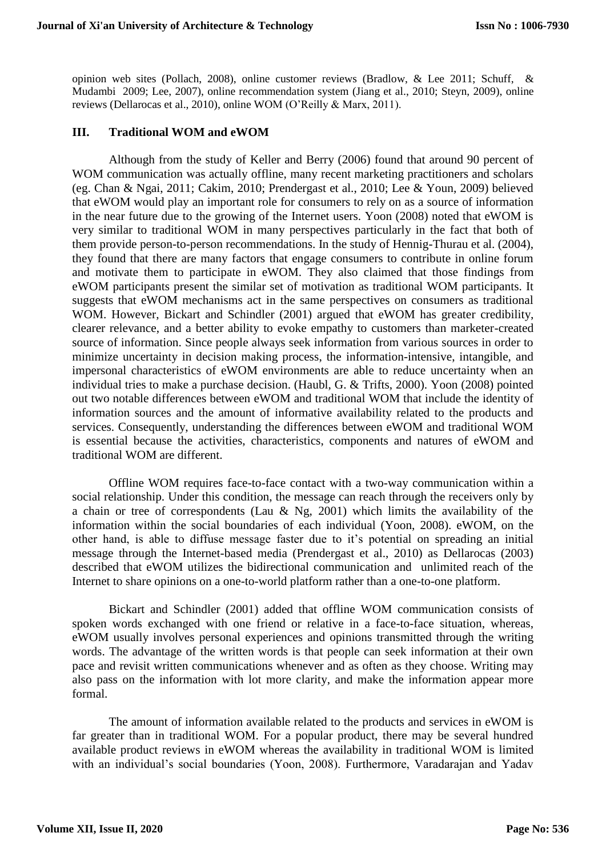opinion web sites (Pollach, 2008), online customer reviews (Bradlow, & Lee 2011; Schuff, & Mudambi 2009; Lee, 2007), online recommendation system (Jiang et al., 2010; Steyn, 2009), online reviews (Dellarocas et al., 2010), online WOM (O'Reilly & Marx, 2011).

#### **III. Traditional WOM and eWOM**

Although from the study of Keller and Berry (2006) found that around 90 percent of WOM communication was actually offline, many recent marketing practitioners and scholars (eg. Chan & Ngai, 2011; Cakim, 2010; Prendergast et al., 2010; Lee & Youn, 2009) believed that eWOM would play an important role for consumers to rely on as a source of information in the near future due to the growing of the Internet users. Yoon (2008) noted that eWOM is very similar to traditional WOM in many perspectives particularly in the fact that both of them provide person-to-person recommendations. In the study of Hennig-Thurau et al. (2004), they found that there are many factors that engage consumers to contribute in online forum and motivate them to participate in eWOM. They also claimed that those findings from eWOM participants present the similar set of motivation as traditional WOM participants. It suggests that eWOM mechanisms act in the same perspectives on consumers as traditional WOM. However, Bickart and Schindler (2001) argued that eWOM has greater credibility, clearer relevance, and a better ability to evoke empathy to customers than marketer-created source of information. Since people always seek information from various sources in order to minimize uncertainty in decision making process, the information-intensive, intangible, and impersonal characteristics of eWOM environments are able to reduce uncertainty when an individual tries to make a purchase decision. (Haubl, G. & Trifts, 2000). Yoon (2008) pointed out two notable differences between eWOM and traditional WOM that include the identity of information sources and the amount of informative availability related to the products and services. Consequently, understanding the differences between eWOM and traditional WOM is essential because the activities, characteristics, components and natures of eWOM and traditional WOM are different.

Offline WOM requires face-to-face contact with a two-way communication within a social relationship. Under this condition, the message can reach through the receivers only by a chain or tree of correspondents (Lau & Ng, 2001) which limits the availability of the information within the social boundaries of each individual (Yoon, 2008). eWOM, on the other hand, is able to diffuse message faster due to it's potential on spreading an initial message through the Internet-based media (Prendergast et al., 2010) as Dellarocas (2003) described that eWOM utilizes the bidirectional communication and unlimited reach of the Internet to share opinions on a one-to-world platform rather than a one-to-one platform.

Bickart and Schindler (2001) added that offline WOM communication consists of spoken words exchanged with one friend or relative in a face-to-face situation, whereas, eWOM usually involves personal experiences and opinions transmitted through the writing words. The advantage of the written words is that people can seek information at their own pace and revisit written communications whenever and as often as they choose. Writing may also pass on the information with lot more clarity, and make the information appear more formal.

The amount of information available related to the products and services in eWOM is far greater than in traditional WOM. For a popular product, there may be several hundred available product reviews in eWOM whereas the availability in traditional WOM is limited with an individual's social boundaries (Yoon, 2008). Furthermore, Varadarajan and Yadav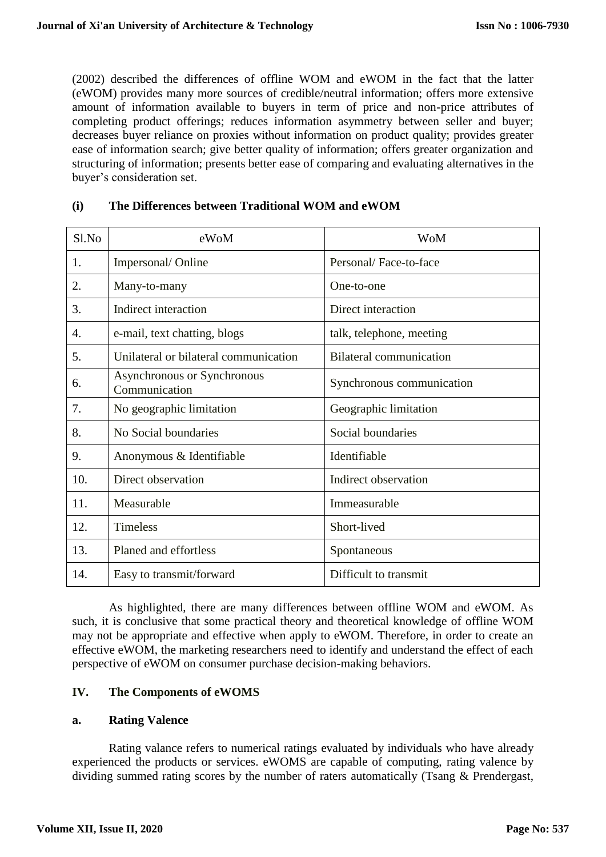(2002) described the differences of offline WOM and eWOM in the fact that the latter (eWOM) provides many more sources of credible/neutral information; offers more extensive amount of information available to buyers in term of price and non-price attributes of completing product offerings; reduces information asymmetry between seller and buyer; decreases buyer reliance on proxies without information on product quality; provides greater ease of information search; give better quality of information; offers greater organization and structuring of information; presents better ease of comparing and evaluating alternatives in the buyer's consideration set.

| Sl.No          | eWoM                                         | WoM                            |
|----------------|----------------------------------------------|--------------------------------|
| $\mathbf{1}$ . | Impersonal/Online                            | Personal/Face-to-face          |
| 2.             | Many-to-many                                 | One-to-one                     |
| 3.             | Indirect interaction                         | Direct interaction             |
| 4.             | e-mail, text chatting, blogs                 | talk, telephone, meeting       |
| 5.             | Unilateral or bilateral communication        | <b>Bilateral communication</b> |
| 6.             | Asynchronous or Synchronous<br>Communication | Synchronous communication      |
| 7.             | No geographic limitation                     | Geographic limitation          |
| 8.             | No Social boundaries                         | Social boundaries              |
| 9.             | Anonymous & Identifiable                     | Identifiable                   |
| 10.            | Direct observation                           | Indirect observation           |
| 11.            | Measurable                                   | Immeasurable                   |
| 12.            | <b>Timeless</b>                              | Short-lived                    |
| 13.            | Planed and effortless                        | Spontaneous                    |
| 14.            | Easy to transmit/forward                     | Difficult to transmit          |

#### **(i) The Differences between Traditional WOM and eWOM**

As highlighted, there are many differences between offline WOM and eWOM. As such, it is conclusive that some practical theory and theoretical knowledge of offline WOM may not be appropriate and effective when apply to eWOM. Therefore, in order to create an effective eWOM, the marketing researchers need to identify and understand the effect of each perspective of eWOM on consumer purchase decision-making behaviors.

## **IV. The Components of eWOMS**

#### **a. Rating Valence**

Rating valance refers to numerical ratings evaluated by individuals who have already experienced the products or services. eWOMS are capable of computing, rating valence by dividing summed rating scores by the number of raters automatically (Tsang & Prendergast,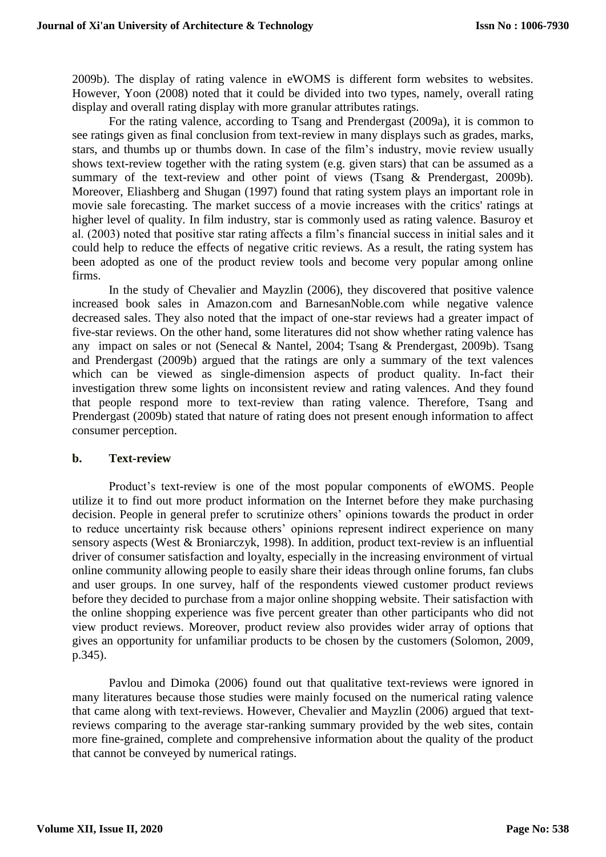2009b). The display of rating valence in eWOMS is different form websites to websites. However, Yoon (2008) noted that it could be divided into two types, namely, overall rating display and overall rating display with more granular attributes ratings.

For the rating valence, according to Tsang and Prendergast (2009a), it is common to see ratings given as final conclusion from text-review in many displays such as grades, marks, stars, and thumbs up or thumbs down. In case of the film's industry, movie review usually shows text-review together with the rating system (e.g. given stars) that can be assumed as a summary of the text-review and other point of views (Tsang & Prendergast, 2009b). Moreover, Eliashberg and Shugan (1997) found that rating system plays an important role in movie sale forecasting. The market success of a movie increases with the critics' ratings at higher level of quality. In film industry, star is commonly used as rating valence. Basuroy et al. (2003) noted that positive star rating affects a film's financial success in initial sales and it could help to reduce the effects of negative critic reviews. As a result, the rating system has been adopted as one of the product review tools and become very popular among online firms.

In the study of Chevalier and Mayzlin (2006), they discovered that positive valence increased book sales in Amazon.com and BarnesanNoble.com while negative valence decreased sales. They also noted that the impact of one-star reviews had a greater impact of five-star reviews. On the other hand, some literatures did not show whether rating valence has any impact on sales or not (Senecal & Nantel, 2004; Tsang & Prendergast, 2009b). Tsang and Prendergast (2009b) argued that the ratings are only a summary of the text valences which can be viewed as single-dimension aspects of product quality. In-fact their investigation threw some lights on inconsistent review and rating valences. And they found that people respond more to text-review than rating valence. Therefore, Tsang and Prendergast (2009b) stated that nature of rating does not present enough information to affect consumer perception.

#### **b. Text-review**

Product's text-review is one of the most popular components of eWOMS. People utilize it to find out more product information on the Internet before they make purchasing decision. People in general prefer to scrutinize others' opinions towards the product in order to reduce uncertainty risk because others' opinions represent indirect experience on many sensory aspects (West & Broniarczyk, 1998). In addition, product text-review is an influential driver of consumer satisfaction and loyalty, especially in the increasing environment of virtual online community allowing people to easily share their ideas through online forums, fan clubs and user groups. In one survey, half of the respondents viewed customer product reviews before they decided to purchase from a major online shopping website. Their satisfaction with the online shopping experience was five percent greater than other participants who did not view product reviews. Moreover, product review also provides wider array of options that gives an opportunity for unfamiliar products to be chosen by the customers (Solomon, 2009, p.345).

Pavlou and Dimoka (2006) found out that qualitative text-reviews were ignored in many literatures because those studies were mainly focused on the numerical rating valence that came along with text-reviews. However, Chevalier and Mayzlin (2006) argued that textreviews comparing to the average star-ranking summary provided by the web sites, contain more fine-grained, complete and comprehensive information about the quality of the product that cannot be conveyed by numerical ratings.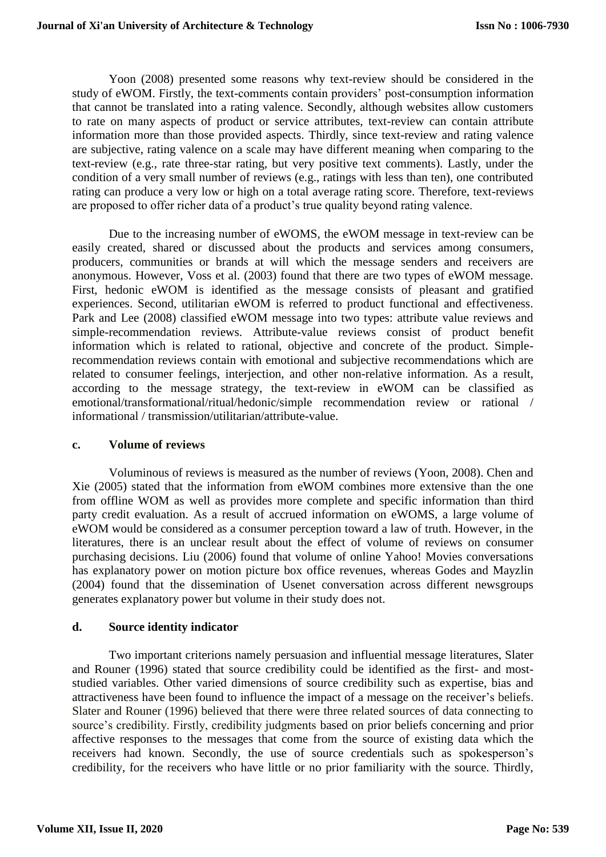Yoon (2008) presented some reasons why text-review should be considered in the study of eWOM. Firstly, the text-comments contain providers' post-consumption information that cannot be translated into a rating valence. Secondly, although websites allow customers to rate on many aspects of product or service attributes, text-review can contain attribute information more than those provided aspects. Thirdly, since text-review and rating valence are subjective, rating valence on a scale may have different meaning when comparing to the text-review (e.g., rate three-star rating, but very positive text comments). Lastly, under the condition of a very small number of reviews (e.g., ratings with less than ten), one contributed rating can produce a very low or high on a total average rating score. Therefore, text-reviews are proposed to offer richer data of a product's true quality beyond rating valence.

Due to the increasing number of eWOMS, the eWOM message in text-review can be easily created, shared or discussed about the products and services among consumers, producers, communities or brands at will which the message senders and receivers are anonymous. However, Voss et al. (2003) found that there are two types of eWOM message. First, hedonic eWOM is identified as the message consists of pleasant and gratified experiences. Second, utilitarian eWOM is referred to product functional and effectiveness. Park and Lee (2008) classified eWOM message into two types: attribute value reviews and simple-recommendation reviews. Attribute-value reviews consist of product benefit information which is related to rational, objective and concrete of the product. Simplerecommendation reviews contain with emotional and subjective recommendations which are related to consumer feelings, interjection, and other non-relative information. As a result, according to the message strategy, the text-review in eWOM can be classified as emotional/transformational/ritual/hedonic/simple recommendation review or rational / informational / transmission/utilitarian/attribute-value.

#### **c. Volume of reviews**

Voluminous of reviews is measured as the number of reviews (Yoon, 2008). Chen and Xie (2005) stated that the information from eWOM combines more extensive than the one from offline WOM as well as provides more complete and specific information than third party credit evaluation. As a result of accrued information on eWOMS, a large volume of eWOM would be considered as a consumer perception toward a law of truth. However, in the literatures, there is an unclear result about the effect of volume of reviews on consumer purchasing decisions. Liu (2006) found that volume of online Yahoo! Movies conversations has explanatory power on motion picture box office revenues, whereas Godes and Mayzlin (2004) found that the dissemination of Usenet conversation across different newsgroups generates explanatory power but volume in their study does not.

#### **d. Source identity indicator**

Two important criterions namely persuasion and influential message literatures, Slater and Rouner (1996) stated that source credibility could be identified as the first- and moststudied variables. Other varied dimensions of source credibility such as expertise, bias and attractiveness have been found to influence the impact of a message on the receiver's beliefs. Slater and Rouner (1996) believed that there were three related sources of data connecting to source's credibility. Firstly, credibility judgments based on prior beliefs concerning and prior affective responses to the messages that come from the source of existing data which the receivers had known. Secondly, the use of source credentials such as spokesperson's credibility, for the receivers who have little or no prior familiarity with the source. Thirdly,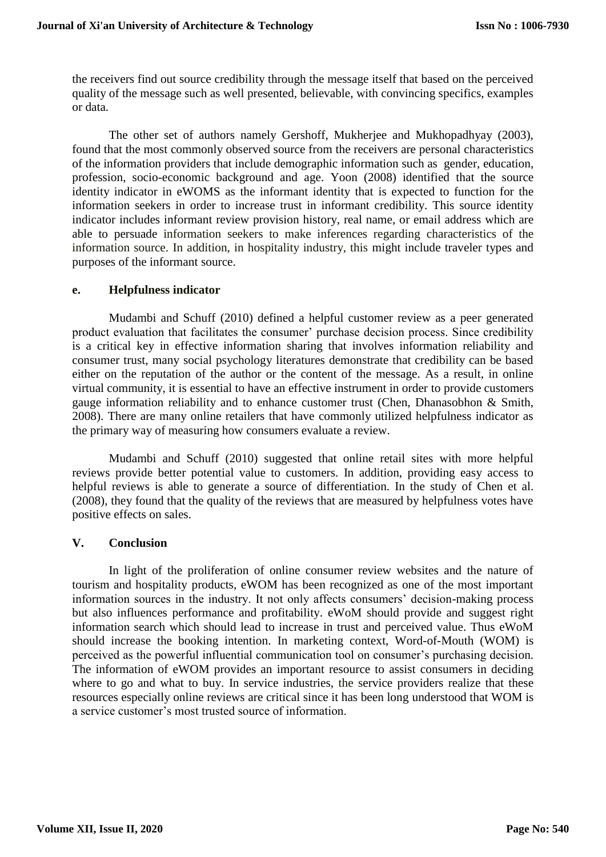the receivers find out source credibility through the message itself that based on the perceived quality of the message such as well presented, believable, with convincing specifics, examples or data.

The other set of authors namely Gershoff, Mukherjee and Mukhopadhyay (2003), found that the most commonly observed source from the receivers are personal characteristics of the information providers that include demographic information such as gender, education, profession, socio-economic background and age. Yoon (2008) identified that the source identity indicator in eWOMS as the informant identity that is expected to function for the information seekers in order to increase trust in informant credibility. This source identity indicator includes informant review provision history, real name, or email address which are able to persuade information seekers to make inferences regarding characteristics of the information source. In addition, in hospitality industry, this might include traveler types and purposes of the informant source.

#### **e. Helpfulness indicator**

Mudambi and Schuff (2010) defined a helpful customer review as a peer generated product evaluation that facilitates the consumer' purchase decision process. Since credibility is a critical key in effective information sharing that involves information reliability and consumer trust, many social psychology literatures demonstrate that credibility can be based either on the reputation of the author or the content of the message. As a result, in online virtual community, it is essential to have an effective instrument in order to provide customers gauge information reliability and to enhance customer trust (Chen, Dhanasobhon & Smith, 2008). There are many online retailers that have commonly utilized helpfulness indicator as the primary way of measuring how consumers evaluate a review.

Mudambi and Schuff (2010) suggested that online retail sites with more helpful reviews provide better potential value to customers. In addition, providing easy access to helpful reviews is able to generate a source of differentiation. In the study of Chen et al. (2008), they found that the quality of the reviews that are measured by helpfulness votes have positive effects on sales.

#### **V. Conclusion**

In light of the proliferation of online consumer review websites and the nature of tourism and hospitality products, eWOM has been recognized as one of the most important information sources in the industry. It not only affects consumers' decision-making process but also influences performance and profitability. eWoM should provide and suggest right information search which should lead to increase in trust and perceived value. Thus eWoM should increase the booking intention. In marketing context, Word-of-Mouth (WOM) is perceived as the powerful influential communication tool on consumer's purchasing decision. The information of eWOM provides an important resource to assist consumers in deciding where to go and what to buy. In service industries, the service providers realize that these resources especially online reviews are critical since it has been long understood that WOM is a service customer's most trusted source of information.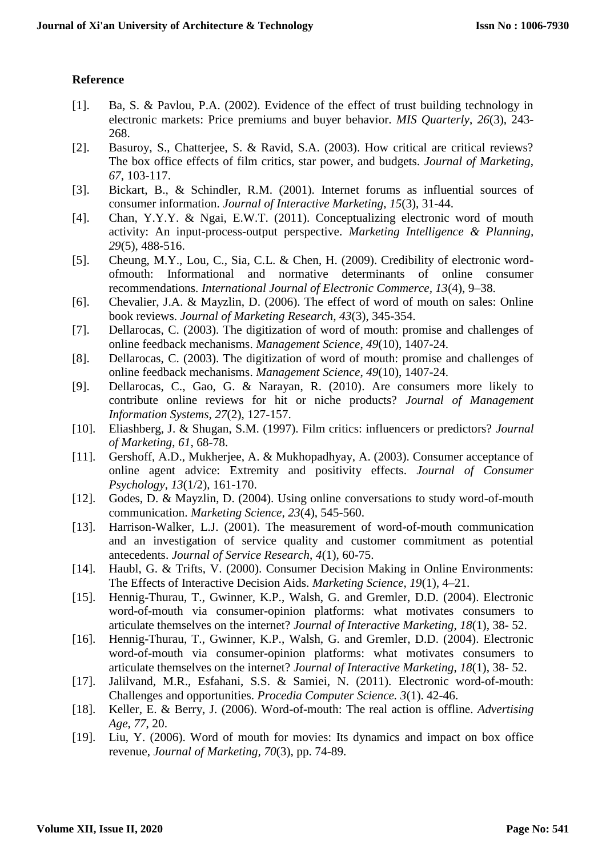## **Reference**

- [1]. Ba, S. & Pavlou, P.A. (2002). Evidence of the effect of trust building technology in electronic markets: Price premiums and buyer behavior. *MIS Quarterly*, *26*(3), 243- 268.
- [2]. Basuroy, S., Chatterjee, S. & Ravid, S.A. (2003). How critical are critical reviews? The box office effects of film critics, star power, and budgets. *Journal of Marketing*, *67*, 103-117.
- [3]. Bickart, B., & Schindler, R.M. (2001). Internet forums as influential sources of consumer information. *Journal of Interactive Marketing*, *15*(3), 31-44.
- [4]. Chan, Y.Y.Y. & Ngai, E.W.T. (2011). Conceptualizing electronic word of mouth activity: An input-process-output perspective. *Marketing Intelligence & Planning, 29*(5), 488-516.
- [5]. Cheung, M.Y., Lou, C., Sia, C.L. & Chen, H. (2009). Credibility of electronic wordofmouth: Informational and normative determinants of online consumer recommendations. *International Journal of Electronic Commerce, 13*(4), 9–38.
- [6]. Chevalier, J.A. & Mayzlin, D. (2006). The effect of word of mouth on sales: Online book reviews. *Journal of Marketing Research*, *43*(3), 345-354.
- [7]. Dellarocas, C. (2003). The digitization of word of mouth: promise and challenges of online feedback mechanisms. *Management Science*, *49*(10), 1407-24.
- [8]. Dellarocas, C. (2003). The digitization of word of mouth: promise and challenges of online feedback mechanisms. *Management Science*, *49*(10), 1407-24.
- [9]. Dellarocas, C., Gao, G. & Narayan, R. (2010). Are consumers more likely to contribute online reviews for hit or niche products? *Journal of Management Information Systems, 27*(2), 127-157.
- [10]. Eliashberg, J. & Shugan, S.M. (1997). Film critics: influencers or predictors? *Journal of Marketing*, *61*, 68-78.
- [11]. Gershoff, A.D., Mukherjee, A. & Mukhopadhyay, A. (2003). Consumer acceptance of online agent advice: Extremity and positivity effects. *Journal of Consumer Psychology*, *13*(1/2), 161-170.
- [12]. Godes, D. & Mayzlin, D. (2004). Using online conversations to study word-of-mouth communication. *Marketing Science, 23*(4), 545-560.
- [13]. Harrison-Walker, L.J. (2001). The measurement of word-of-mouth communication and an investigation of service quality and customer commitment as potential antecedents. *Journal of Service Research*, *4*(1), 60-75.
- [14]. Haubl, G. & Trifts, V. (2000). Consumer Decision Making in Online Environments: The Effects of Interactive Decision Aids. *Marketing Science*, *19*(1), 4–21.
- [15]. Hennig-Thurau, T., Gwinner, K.P., Walsh, G. and Gremler, D.D. (2004). Electronic word-of-mouth via consumer-opinion platforms: what motivates consumers to articulate themselves on the internet? *Journal of Interactive Marketing*, *18*(1), 38- 52.
- [16]. Hennig-Thurau, T., Gwinner, K.P., Walsh, G. and Gremler, D.D. (2004). Electronic word-of-mouth via consumer-opinion platforms: what motivates consumers to articulate themselves on the internet? *Journal of Interactive Marketing*, *18*(1), 38- 52.
- [17]. Jalilvand, M.R., Esfahani, S.S. & Samiei, N. (2011). Electronic word-of-mouth: Challenges and opportunities. *Procedia Computer Science. 3*(1). 42-46.
- [18]. Keller, E. & Berry, J. (2006). Word-of-mouth: The real action is offline. *Advertising Age*, *77*, 20.
- [19]. Liu, Y. (2006). Word of mouth for movies: Its dynamics and impact on box office revenue, *Journal of Marketing, 70*(3), pp. 74-89.